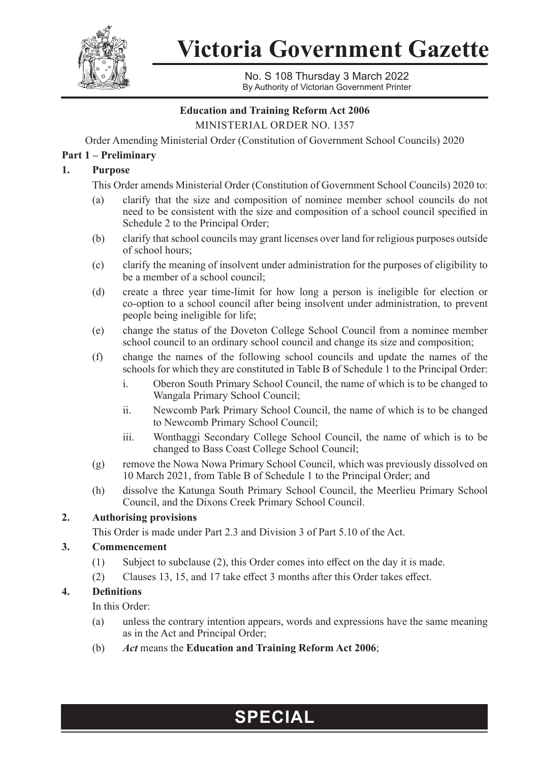

**Victoria Government Gazette**

No. S 108 Thursday 3 March 2022 By Authority of Victorian Government Printer

## **Education and Training Reform Act 2006**

MINISTERIAL ORDER NO. 1357

Order Amending Ministerial Order (Constitution of Government School Councils) 2020

#### **Part 1 – Preliminary**

#### **1. Purpose**

This Order amends Ministerial Order (Constitution of Government School Councils) 2020 to:

- (a) clarify that the size and composition of nominee member school councils do not need to be consistent with the size and composition of a school council specified in Schedule 2 to the Principal Order;
- (b) clarify that school councils may grant licenses over land for religious purposes outside of school hours;
- (c) clarify the meaning of insolvent under administration for the purposes of eligibility to be a member of a school council;
- (d) create a three year time-limit for how long a person is ineligible for election or co-option to a school council after being insolvent under administration, to prevent people being ineligible for life;
- (e) change the status of the Doveton College School Council from a nominee member school council to an ordinary school council and change its size and composition;
- (f) change the names of the following school councils and update the names of the schools for which they are constituted in Table B of Schedule 1 to the Principal Order:
	- i. Oberon South Primary School Council, the name of which is to be changed to Wangala Primary School Council;
	- ii. Newcomb Park Primary School Council, the name of which is to be changed to Newcomb Primary School Council;
	- iii. Wonthaggi Secondary College School Council, the name of which is to be changed to Bass Coast College School Council;
- (g) remove the Nowa Nowa Primary School Council, which was previously dissolved on 10 March 2021, from Table B of Schedule 1 to the Principal Order; and
- (h) dissolve the Katunga South Primary School Council, the Meerlieu Primary School Council, and the Dixons Creek Primary School Council.

#### **2. Authorising provisions**

This Order is made under Part 2.3 and Division 3 of Part 5.10 of the Act.

#### **3. Commencement**

- (1) Subject to subclause (2), this Order comes into effect on the day it is made.
- (2) Clauses 13, 15, and 17 take effect 3 months after this Order takes effect.

#### **4. Definitions**

In this Order:

- (a) unless the contrary intention appears, words and expressions have the same meaning as in the Act and Principal Order;
- (b) *Act* means the **Education and Training Reform Act 2006**;

# **SPECIAL**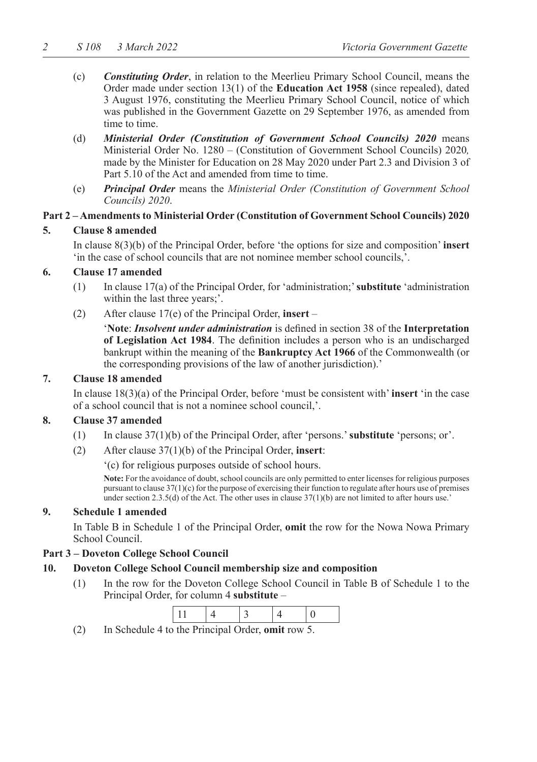- (c) *Constituting Order*, in relation to the Meerlieu Primary School Council, means the Order made under section 13(1) of the **Education Act 1958** (since repealed), dated 3 August 1976, constituting the Meerlieu Primary School Council, notice of which was published in the Government Gazette on 29 September 1976, as amended from time to time.
- (d) *Ministerial Order (Constitution of Government School Councils) 2020* means Ministerial Order No. 1280 – (Constitution of Government School Councils) 2020*,* made by the Minister for Education on 28 May 2020 under Part 2.3 and Division 3 of Part 5.10 of the Act and amended from time to time.
- (e) *Principal Order* means the *Ministerial Order (Constitution of Government School Councils) 2020*.

## **Part 2 – Amendments to Ministerial Order (Constitution of Government School Councils) 2020**

#### **5. Clause 8 amended**

In clause 8(3)(b) of the Principal Order, before 'the options for size and composition' **insert**  'in the case of school councils that are not nominee member school councils,'.

#### **6. Clause 17 amended**

- (1) In clause 17(a) of the Principal Order, for 'administration;' **substitute** 'administration within the last three years;'.
- (2) After clause 17(e) of the Principal Order, **insert** –

'**Note**: *Insolvent under administration* is defined in section 38 of the **Interpretation of Legislation Act 1984**. The definition includes a person who is an undischarged bankrupt within the meaning of the **Bankruptcy Act 1966** of the Commonwealth (or the corresponding provisions of the law of another jurisdiction).'

#### **7. Clause 18 amended**

In clause 18(3)(a) of the Principal Order, before 'must be consistent with' **insert** 'in the case of a school council that is not a nominee school council,'.

#### **8. Clause 37 amended**

- (1) In clause 37(1)(b) of the Principal Order, after 'persons.' **substitute** 'persons; or'.
- (2) After clause 37(1)(b) of the Principal Order, **insert**:
	- '(c) for religious purposes outside of school hours.

**Note:** For the avoidance of doubt, school councils are only permitted to enter licenses for religious purposes pursuant to clause 37(1)(c) for the purpose of exercising their function to regulate after hours use of premises under section 2.3.5(d) of the Act. The other uses in clause  $37(1)(b)$  are not limited to after hours use.'

#### **9. Schedule 1 amended**

In Table B in Schedule 1 of the Principal Order, **omit** the row for the Nowa Nowa Primary School Council.

#### **Part 3 – Doveton College School Council**

#### **10. Doveton College School Council membership size and composition**

(1) In the row for the Doveton College School Council in Table B of Schedule 1 to the Principal Order, for column 4 **substitute** –

|--|--|--|--|--|

(2) In Schedule 4 to the Principal Order, **omit** row 5.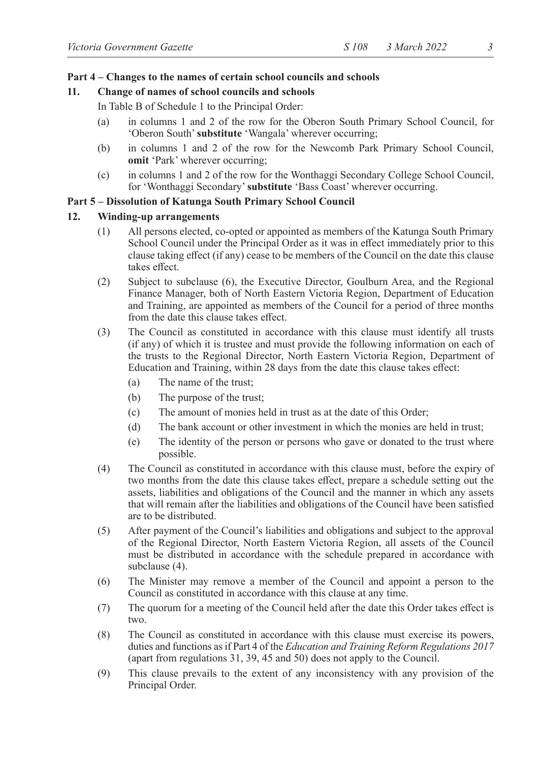#### **Part 4 – Changes to the names of certain school councils and schools**

#### **11. Change of names of school councils and schools**

- In Table B of Schedule 1 to the Principal Order:
- (a) in columns 1 and 2 of the row for the Oberon South Primary School Council, for 'Oberon South' **substitute** 'Wangala' wherever occurring;
- (b) in columns 1 and 2 of the row for the Newcomb Park Primary School Council, **omit** 'Park' wherever occurring;
- (c) in columns 1 and 2 of the row for the Wonthaggi Secondary College School Council, for 'Wonthaggi Secondary' **substitute** 'Bass Coast' wherever occurring.

#### **Part 5 – Dissolution of Katunga South Primary School Council**

#### **12. Winding-up arrangements**

- (1) All persons elected, co-opted or appointed as members of the Katunga South Primary School Council under the Principal Order as it was in effect immediately prior to this clause taking effect (if any) cease to be members of the Council on the date this clause takes effect.
- (2) Subject to subclause (6), the Executive Director, Goulburn Area, and the Regional Finance Manager, both of North Eastern Victoria Region, Department of Education and Training, are appointed as members of the Council for a period of three months from the date this clause takes effect.
- (3) The Council as constituted in accordance with this clause must identify all trusts (if any) of which it is trustee and must provide the following information on each of the trusts to the Regional Director, North Eastern Victoria Region, Department of Education and Training, within 28 days from the date this clause takes effect:
	- (a) The name of the trust;
	- (b) The purpose of the trust;
	- (c) The amount of monies held in trust as at the date of this Order;
	- (d) The bank account or other investment in which the monies are held in trust;
	- (e) The identity of the person or persons who gave or donated to the trust where possible.
- (4) The Council as constituted in accordance with this clause must, before the expiry of two months from the date this clause takes effect, prepare a schedule setting out the assets, liabilities and obligations of the Council and the manner in which any assets that will remain after the liabilities and obligations of the Council have been satisfied are to be distributed.
- (5) After payment of the Council's liabilities and obligations and subject to the approval of the Regional Director, North Eastern Victoria Region, all assets of the Council must be distributed in accordance with the schedule prepared in accordance with subclause (4).
- (6) The Minister may remove a member of the Council and appoint a person to the Council as constituted in accordance with this clause at any time.
- (7) The quorum for a meeting of the Council held after the date this Order takes effect is two.
- (8) The Council as constituted in accordance with this clause must exercise its powers, duties and functions as if Part 4 of the *Education and Training Reform Regulations 2017* (apart from regulations 31, 39, 45 and 50) does not apply to the Council.
- (9) This clause prevails to the extent of any inconsistency with any provision of the Principal Order.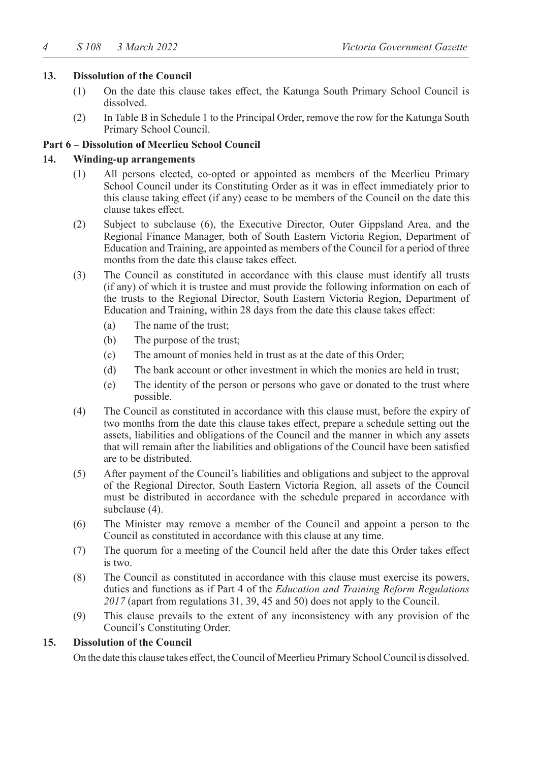#### **13. Dissolution of the Council**

- (1) On the date this clause takes effect, the Katunga South Primary School Council is dissolved.
- (2) In Table B in Schedule 1 to the Principal Order, remove the row for the Katunga South Primary School Council.

#### **Part 6 – Dissolution of Meerlieu School Council**

#### **14. Winding-up arrangements**

- (1) All persons elected, co-opted or appointed as members of the Meerlieu Primary School Council under its Constituting Order as it was in effect immediately prior to this clause taking effect (if any) cease to be members of the Council on the date this clause takes effect.
- (2) Subject to subclause (6), the Executive Director, Outer Gippsland Area, and the Regional Finance Manager, both of South Eastern Victoria Region, Department of Education and Training, are appointed as members of the Council for a period of three months from the date this clause takes effect.
- (3) The Council as constituted in accordance with this clause must identify all trusts (if any) of which it is trustee and must provide the following information on each of the trusts to the Regional Director, South Eastern Victoria Region, Department of Education and Training, within 28 days from the date this clause takes effect:
	- (a) The name of the trust;
	- (b) The purpose of the trust;
	- (c) The amount of monies held in trust as at the date of this Order;
	- (d) The bank account or other investment in which the monies are held in trust;
	- (e) The identity of the person or persons who gave or donated to the trust where possible.
- (4) The Council as constituted in accordance with this clause must, before the expiry of two months from the date this clause takes effect, prepare a schedule setting out the assets, liabilities and obligations of the Council and the manner in which any assets that will remain after the liabilities and obligations of the Council have been satisfied are to be distributed.
- (5) After payment of the Council's liabilities and obligations and subject to the approval of the Regional Director, South Eastern Victoria Region, all assets of the Council must be distributed in accordance with the schedule prepared in accordance with subclause (4).
- (6) The Minister may remove a member of the Council and appoint a person to the Council as constituted in accordance with this clause at any time.
- (7) The quorum for a meeting of the Council held after the date this Order takes effect is two.
- (8) The Council as constituted in accordance with this clause must exercise its powers, duties and functions as if Part 4 of the *Education and Training Reform Regulations 2017* (apart from regulations 31, 39, 45 and 50) does not apply to the Council.
- (9) This clause prevails to the extent of any inconsistency with any provision of the Council's Constituting Order.

#### **15. Dissolution of the Council**

On the date this clause takes effect, the Council of Meerlieu Primary School Council is dissolved.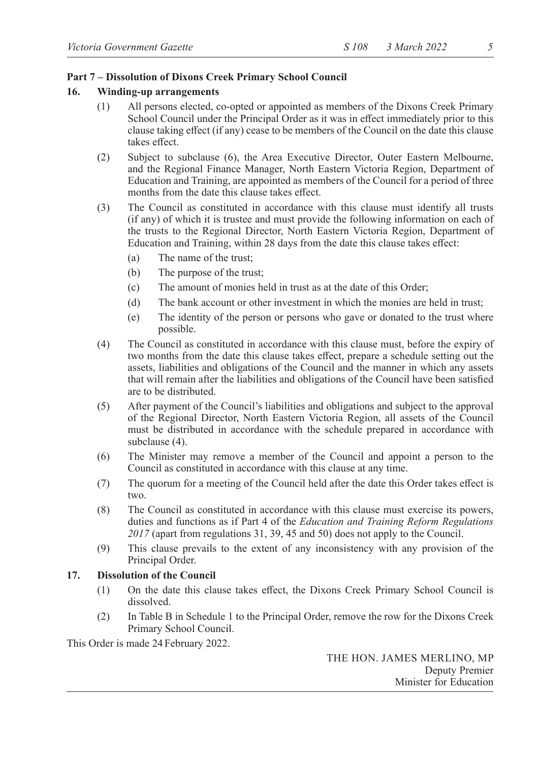#### **Part 7 – Dissolution of Dixons Creek Primary School Council**

#### **16. Winding-up arrangements**

- (1) All persons elected, co-opted or appointed as members of the Dixons Creek Primary School Council under the Principal Order as it was in effect immediately prior to this clause taking effect (if any) cease to be members of the Council on the date this clause takes effect.
- (2) Subject to subclause (6), the Area Executive Director, Outer Eastern Melbourne, and the Regional Finance Manager, North Eastern Victoria Region, Department of Education and Training, are appointed as members of the Council for a period of three months from the date this clause takes effect.
- (3) The Council as constituted in accordance with this clause must identify all trusts (if any) of which it is trustee and must provide the following information on each of the trusts to the Regional Director, North Eastern Victoria Region, Department of Education and Training, within 28 days from the date this clause takes effect:
	- (a) The name of the trust;
	- (b) The purpose of the trust;
	- (c) The amount of monies held in trust as at the date of this Order;
	- (d) The bank account or other investment in which the monies are held in trust;
	- (e) The identity of the person or persons who gave or donated to the trust where possible.
- (4) The Council as constituted in accordance with this clause must, before the expiry of two months from the date this clause takes effect, prepare a schedule setting out the assets, liabilities and obligations of the Council and the manner in which any assets that will remain after the liabilities and obligations of the Council have been satisfied are to be distributed.
- (5) After payment of the Council's liabilities and obligations and subject to the approval of the Regional Director, North Eastern Victoria Region, all assets of the Council must be distributed in accordance with the schedule prepared in accordance with subclause (4).
- (6) The Minister may remove a member of the Council and appoint a person to the Council as constituted in accordance with this clause at any time.
- (7) The quorum for a meeting of the Council held after the date this Order takes effect is two.
- (8) The Council as constituted in accordance with this clause must exercise its powers, duties and functions as if Part 4 of the *Education and Training Reform Regulations 2017* (apart from regulations 31, 39, 45 and 50) does not apply to the Council.
- (9) This clause prevails to the extent of any inconsistency with any provision of the Principal Order.

#### **17. Dissolution of the Council**

- (1) On the date this clause takes effect, the Dixons Creek Primary School Council is dissolved.
- (2) In Table B in Schedule 1 to the Principal Order, remove the row for the Dixons Creek Primary School Council.

This Order is made 24 February 2022.

THE HON. JAMES MERLINO, MP Deputy Premier Minister for Education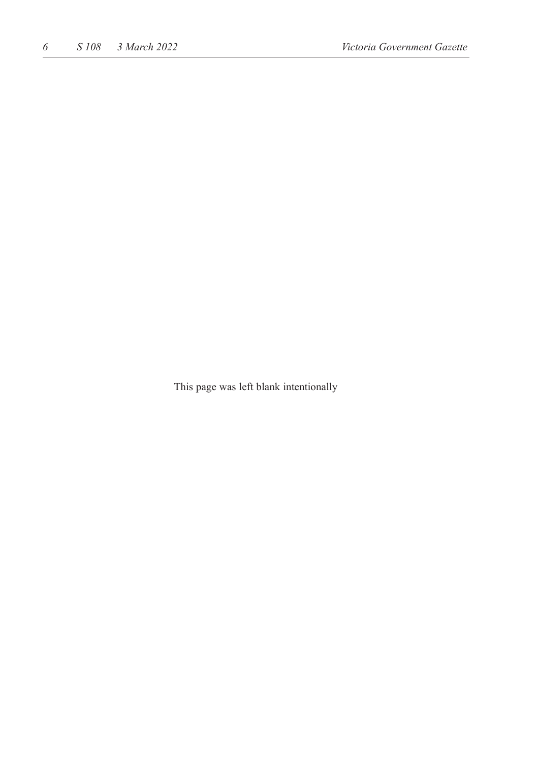This page was left blank intentionally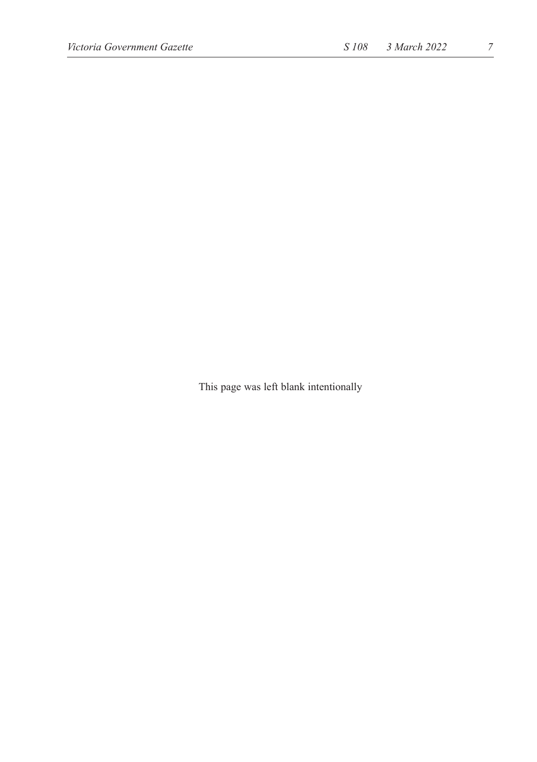This page was left blank intentionally